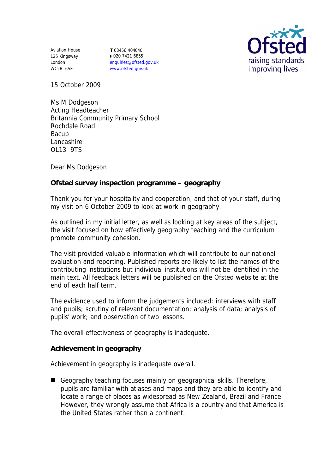Aviation House 125 Kingsway London WC2B 6SE

**T** 08456 404040 **F** 020 7421 6855 enquiries@ofsted.gov.uk www.ofsted.gov.uk



15 October 2009

Ms M Dodgeson Acting Headteacher Britannia Community Primary School Rochdale Road Bacup Lancashire OL13 9TS

Dear Ms Dodgeson

**Ofsted survey inspection programme – geography** 

Thank you for your hospitality and cooperation, and that of your staff, during my visit on 6 October 2009 to look at work in geography.

As outlined in my initial letter, as well as looking at key areas of the subject, the visit focused on how effectively geography teaching and the curriculum promote community cohesion.

The visit provided valuable information which will contribute to our national evaluation and reporting. Published reports are likely to list the names of the contributing institutions but individual institutions will not be identified in the main text. All feedback letters will be published on the Ofsted website at the end of each half term.

The evidence used to inform the judgements included: interviews with staff and pupils; scrutiny of relevant documentation; analysis of data; analysis of pupils' work; and observation of two lessons.

The overall effectiveness of geography is inadequate.

**Achievement in geography**

Achievement in geography is inadequate overall.

■ Geography teaching focuses mainly on geographical skills. Therefore, pupils are familiar with atlases and maps and they are able to identify and locate a range of places as widespread as New Zealand, Brazil and France. However, they wrongly assume that Africa is a country and that America is the United States rather than a continent.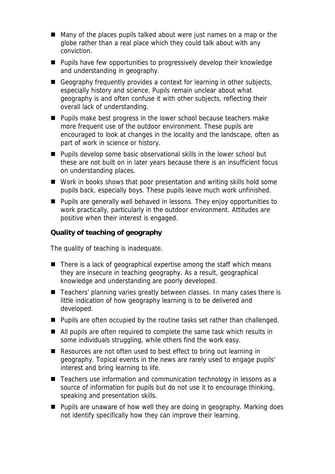- Many of the places pupils talked about were just names on a map or the globe rather than a real place which they could talk about with any conviction.
- **Pupils have few opportunities to progressively develop their knowledge** and understanding in geography.
- Geography frequently provides a context for learning in other subjects, especially history and science. Pupils remain unclear about what geography is and often confuse it with other subjects, reflecting their overall lack of understanding.
- **Pupils make best progress in the lower school because teachers make** more frequent use of the outdoor environment. These pupils are encouraged to look at changes in the locality and the landscape, often as part of work in science or history.
- Pupils develop some basic observational skills in the lower school but these are not built on in later years because there is an insufficient focus on understanding places.
- Work in books shows that poor presentation and writing skills hold some pupils back, especially boys. These pupils leave much work unfinished.
- Pupils are generally well behaved in lessons. They enjoy opportunities to work practically, particularly in the outdoor environment. Attitudes are positive when their interest is engaged.

**Quality of teaching of geography**

The quality of teaching is inadequate.

- $\blacksquare$  There is a lack of geographical expertise among the staff which means they are insecure in teaching geography. As a result, geographical knowledge and understanding are poorly developed.
- Teachers' planning varies greatly between classes. In many cases there is little indication of how geography learning is to be delivered and developed.
- **Pupils are often occupied by the routine tasks set rather than challenged.**
- All pupils are often required to complete the same task which results in some individuals struggling, while others find the work easy.
- Resources are not often used to best effect to bring out learning in geography. Topical events in the news are rarely used to engage pupils' interest and bring learning to life.
- Teachers use information and communication technology in lessons as a source of information for pupils but do not use it to encourage thinking, speaking and presentation skills.
- Pupils are unaware of how well they are doing in geography. Marking does not identify specifically how they can improve their learning.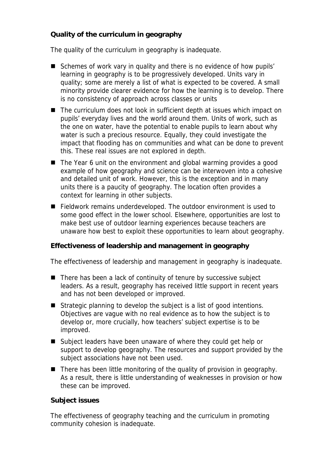**Quality of the curriculum in geography** 

The quality of the curriculum in geography is inadequate.

- Schemes of work vary in quality and there is no evidence of how pupils' learning in geography is to be progressively developed. Units vary in quality; some are merely a list of what is expected to be covered. A small minority provide clearer evidence for how the learning is to develop. There is no consistency of approach across classes or units
- The curriculum does not look in sufficient depth at issues which impact on pupils' everyday lives and the world around them. Units of work, such as the one on water, have the potential to enable pupils to learn about why water is such a precious resource. Equally, they could investigate the impact that flooding has on communities and what can be done to prevent this. These real issues are not explored in depth.
- The Year 6 unit on the environment and global warming provides a good example of how geography and science can be interwoven into a cohesive and detailed unit of work. However, this is the exception and in many units there is a paucity of geography. The location often provides a context for learning in other subjects.
- Fieldwork remains underdeveloped. The outdoor environment is used to some good effect in the lower school. Elsewhere, opportunities are lost to make best use of outdoor learning experiences because teachers are unaware how best to exploit these opportunities to learn about geography.

**Effectiveness of leadership and management in geography**

The effectiveness of leadership and management in geography is inadequate.

- $\blacksquare$  There has been a lack of continuity of tenure by successive subject leaders. As a result, geography has received little support in recent years and has not been developed or improved.
- Strategic planning to develop the subject is a list of good intentions. Objectives are vague with no real evidence as to how the subject is to develop or, more crucially, how teachers' subject expertise is to be improved.
- Subject leaders have been unaware of where they could get help or support to develop geography. The resources and support provided by the subject associations have not been used.
- $\blacksquare$  There has been little monitoring of the quality of provision in geography. As a result, there is little understanding of weaknesses in provision or how these can be improved.

## **Subject issues**

The effectiveness of geography teaching and the curriculum in promoting community cohesion is inadequate.